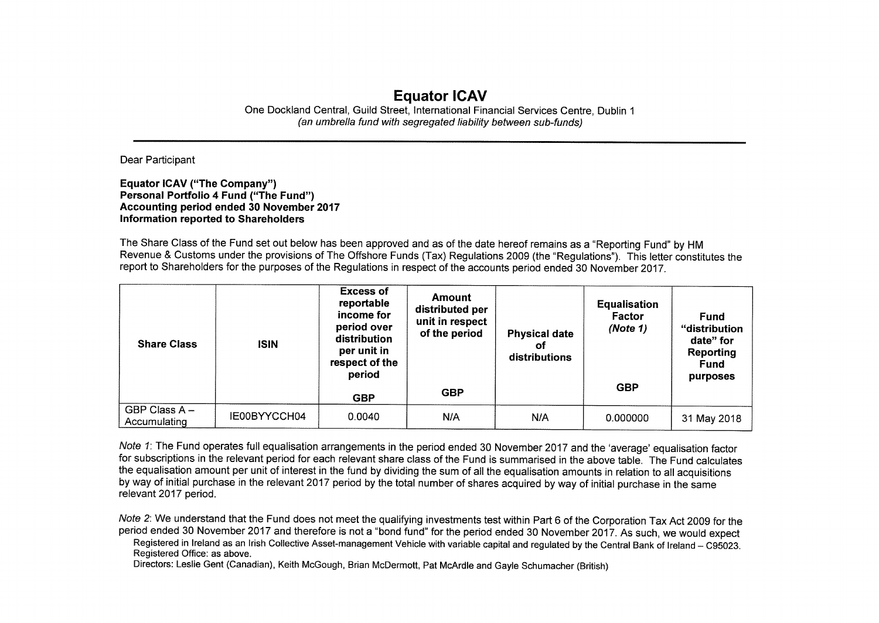## **Equator ICAV**

One Dockland Central, Guild Street, International Financial Services Centre, Dublin 1 *(an umbrella fund with segregated liability between sub-funds)* 

Dear Participant

**Equator ICAV** (**"The Company**") Personal Portfolio **4** Fund ("The Fund") **Accounting period ended 30 November 2017 Information reported to Shareholders** 

The Share Class of the Fund set out below has been approved and as of the date hereof remains as a "Reporting Fund" by HM Revenue & Customs under the provisions of The Offshore Funds (Tax) Regulations 2009 (the "Regulations"). This letter constitutes the report to Shareholders for the purposes of the Regulations in respect of the accounts period ended 30 November 2017.

| <b>Share Class</b>            | <b>ISIN</b>  | <b>Excess of</b><br>reportable<br>income for<br>period over<br>distribution<br>per unit in<br>respect of the<br>period<br><b>GBP</b> | <b>Amount</b><br>distributed per<br>unit in respect<br>of the period<br><b>GBP</b> | <b>Physical date</b><br>οf<br>distributions | <b>Equalisation</b><br><b>Factor</b><br>(Note 1)<br><b>GBP</b> | <b>Fund</b><br>"distribution<br>date" for<br>Reporting<br><b>Fund</b><br>purposes |
|-------------------------------|--------------|--------------------------------------------------------------------------------------------------------------------------------------|------------------------------------------------------------------------------------|---------------------------------------------|----------------------------------------------------------------|-----------------------------------------------------------------------------------|
| GBP Class A -<br>Accumulating | IE00BYYCCH04 | 0.0040                                                                                                                               | N/A                                                                                | N/A                                         | 0.000000                                                       | 31 May 2018                                                                       |

Note 1: The Fund operates full equalisation arrangements in the period ended 30 November 2017 and the 'average' equalisation factor for subscriptions in the relevant period for each relevant share class of the Fund is summarised in the above table. The Fund calculates the equalisation amount per unit of interest in the fund by dividing the sum of all the equalisation amounts in relation to all acquisitions by way of initial purchase in the relevant 2017 period by the total number of shares acquired by way of initial purchase in the same relevant 2017 period.

Note 2: We understand that the Fund does not meet the qualifying investments test within Part 6 of the Corporation Tax Act 2009 for the period ended 30 November 2017 and therefore is not a "bond fund" for the period ended 30 November 2017. As such, we would expect

Registered in Ireland as an Irish Collective Asset-management Vehicle with variable capital and regulated by the Central Bank of Ireland — C95023. Registered Office: as above.

Directors: Leslie Gent (Canadian), Keith McGough, Brian McDermott, Pat McArdle and Gayle Schumacher (British)